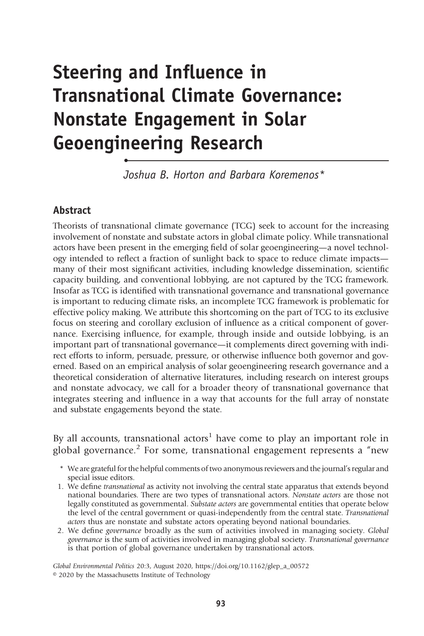# Steering and Influence in Transnational Climate Governance: Nonstate Engagement in Solar Geoengineering Research

Joshua B. Horton and Barbara Koremenos\*

## Abstract

•

Theorists of transnational climate governance (TCG) seek to account for the increasing involvement of nonstate and substate actors in global climate policy. While transnational actors have been present in the emerging field of solar geoengineering—a novel technology intended to reflect a fraction of sunlight back to space to reduce climate impacts many of their most significant activities, including knowledge dissemination, scientific capacity building, and conventional lobbying, are not captured by the TCG framework. Insofar as TCG is identified with transnational governance and transnational governance is important to reducing climate risks, an incomplete TCG framework is problematic for effective policy making. We attribute this shortcoming on the part of TCG to its exclusive focus on steering and corollary exclusion of influence as a critical component of governance. Exercising influence, for example, through inside and outside lobbying, is an important part of transnational governance—it complements direct governing with indirect efforts to inform, persuade, pressure, or otherwise influence both governor and governed. Based on an empirical analysis of solar geoengineering research governance and a theoretical consideration of alternative literatures, including research on interest groups and nonstate advocacy, we call for a broader theory of transnational governance that integrates steering and influence in a way that accounts for the full array of nonstate and substate engagements beyond the state.

By all accounts, transnational actors<sup>1</sup> have come to play an important role in global governance.<sup>2</sup> For some, transnational engagement represents a "new

- \* We are grateful for the helpful comments of two anonymous reviewers and the journal's regular and special issue editors.
- 1. We define transnational as activity not involving the central state apparatus that extends beyond national boundaries. There are two types of transnational actors. Nonstate actors are those not legally constituted as governmental. Substate actors are governmental entities that operate below the level of the central government or quasi-independently from the central state. Transnational actors thus are nonstate and substate actors operating beyond national boundaries.
- 2. We define governance broadly as the sum of activities involved in managing society. Global governance is the sum of activities involved in managing global society. Transnational governance is that portion of global governance undertaken by transnational actors.

Global Environmental Politics 20:3, August 2020, https://doi.org/10.1162/glep\_a\_00572 © 2020 by the Massachusetts Institute of Technology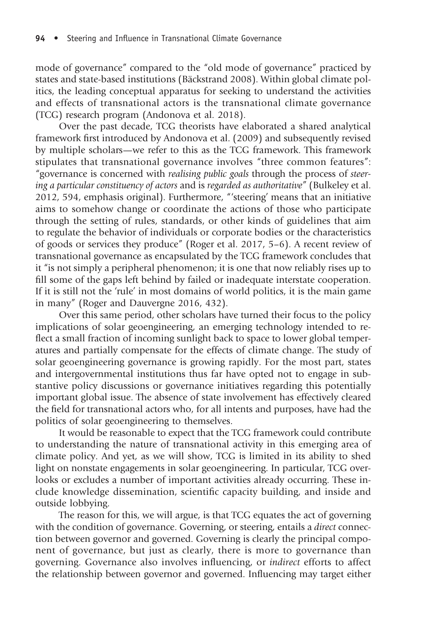mode of governance" compared to the "old mode of governance" practiced by states and state-based institutions (Bäckstrand 2008). Within global climate politics, the leading conceptual apparatus for seeking to understand the activities and effects of transnational actors is the transnational climate governance (TCG) research program (Andonova et al. 2018).

Over the past decade, TCG theorists have elaborated a shared analytical framework first introduced by Andonova et al. (2009) and subsequently revised by multiple scholars—we refer to this as the TCG framework. This framework stipulates that transnational governance involves "three common features": "governance is concerned with realising public goals through the process of steering a particular constituency of actors and is regarded as authoritative" (Bulkeley et al. 2012, 594, emphasis original). Furthermore, "'steering' means that an initiative aims to somehow change or coordinate the actions of those who participate through the setting of rules, standards, or other kinds of guidelines that aim to regulate the behavior of individuals or corporate bodies or the characteristics of goods or services they produce" (Roger et al. 2017, 5–6). A recent review of transnational governance as encapsulated by the TCG framework concludes that it "is not simply a peripheral phenomenon; it is one that now reliably rises up to fill some of the gaps left behind by failed or inadequate interstate cooperation. If it is still not the 'rule' in most domains of world politics, it is the main game in many" (Roger and Dauvergne 2016, 432).

Over this same period, other scholars have turned their focus to the policy implications of solar geoengineering, an emerging technology intended to reflect a small fraction of incoming sunlight back to space to lower global temperatures and partially compensate for the effects of climate change. The study of solar geoengineering governance is growing rapidly. For the most part, states and intergovernmental institutions thus far have opted not to engage in substantive policy discussions or governance initiatives regarding this potentially important global issue. The absence of state involvement has effectively cleared the field for transnational actors who, for all intents and purposes, have had the politics of solar geoengineering to themselves.

It would be reasonable to expect that the TCG framework could contribute to understanding the nature of transnational activity in this emerging area of climate policy. And yet, as we will show, TCG is limited in its ability to shed light on nonstate engagements in solar geoengineering. In particular, TCG overlooks or excludes a number of important activities already occurring. These include knowledge dissemination, scientific capacity building, and inside and outside lobbying.

The reason for this, we will argue, is that TCG equates the act of governing with the condition of governance. Governing, or steering, entails a direct connection between governor and governed. Governing is clearly the principal component of governance, but just as clearly, there is more to governance than governing. Governance also involves influencing, or indirect efforts to affect the relationship between governor and governed. Influencing may target either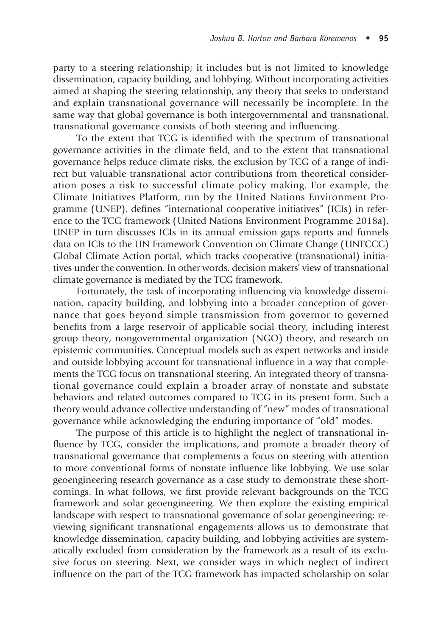party to a steering relationship; it includes but is not limited to knowledge dissemination, capacity building, and lobbying. Without incorporating activities aimed at shaping the steering relationship, any theory that seeks to understand and explain transnational governance will necessarily be incomplete. In the same way that global governance is both intergovernmental and transnational, transnational governance consists of both steering and influencing.

To the extent that TCG is identified with the spectrum of transnational governance activities in the climate field, and to the extent that transnational governance helps reduce climate risks, the exclusion by TCG of a range of indirect but valuable transnational actor contributions from theoretical consideration poses a risk to successful climate policy making. For example, the Climate Initiatives Platform, run by the United Nations Environment Programme (UNEP), defines "international cooperative initiatives" (ICIs) in reference to the TCG framework (United Nations Environment Programme 2018a). UNEP in turn discusses ICIs in its annual emission gaps reports and funnels data on ICIs to the UN Framework Convention on Climate Change (UNFCCC) Global Climate Action portal, which tracks cooperative (transnational) initiatives under the convention. In other words, decision makers' view of transnational climate governance is mediated by the TCG framework.

Fortunately, the task of incorporating influencing via knowledge dissemination, capacity building, and lobbying into a broader conception of governance that goes beyond simple transmission from governor to governed benefits from a large reservoir of applicable social theory, including interest group theory, nongovernmental organization (NGO) theory, and research on epistemic communities. Conceptual models such as expert networks and inside and outside lobbying account for transnational influence in a way that complements the TCG focus on transnational steering. An integrated theory of transnational governance could explain a broader array of nonstate and substate behaviors and related outcomes compared to TCG in its present form. Such a theory would advance collective understanding of "new" modes of transnational governance while acknowledging the enduring importance of "old" modes.

The purpose of this article is to highlight the neglect of transnational influence by TCG, consider the implications, and promote a broader theory of transnational governance that complements a focus on steering with attention to more conventional forms of nonstate influence like lobbying. We use solar geoengineering research governance as a case study to demonstrate these shortcomings. In what follows, we first provide relevant backgrounds on the TCG framework and solar geoengineering. We then explore the existing empirical landscape with respect to transnational governance of solar geoengineering; reviewing significant transnational engagements allows us to demonstrate that knowledge dissemination, capacity building, and lobbying activities are systematically excluded from consideration by the framework as a result of its exclusive focus on steering. Next, we consider ways in which neglect of indirect influence on the part of the TCG framework has impacted scholarship on solar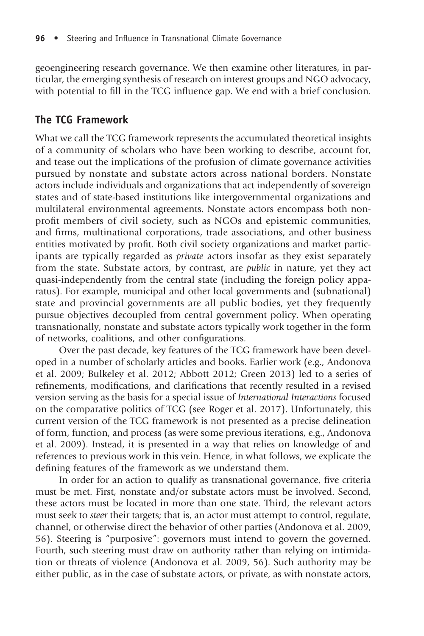geoengineering research governance. We then examine other literatures, in particular, the emerging synthesis of research on interest groups and NGO advocacy, with potential to fill in the TCG influence gap. We end with a brief conclusion.

# The TCG Framework

What we call the TCG framework represents the accumulated theoretical insights of a community of scholars who have been working to describe, account for, and tease out the implications of the profusion of climate governance activities pursued by nonstate and substate actors across national borders. Nonstate actors include individuals and organizations that act independently of sovereign states and of state-based institutions like intergovernmental organizations and multilateral environmental agreements. Nonstate actors encompass both nonprofit members of civil society, such as NGOs and epistemic communities, and firms, multinational corporations, trade associations, and other business entities motivated by profit. Both civil society organizations and market participants are typically regarded as private actors insofar as they exist separately from the state. Substate actors, by contrast, are *public* in nature, yet they act quasi-independently from the central state (including the foreign policy apparatus). For example, municipal and other local governments and (subnational) state and provincial governments are all public bodies, yet they frequently pursue objectives decoupled from central government policy. When operating transnationally, nonstate and substate actors typically work together in the form of networks, coalitions, and other configurations.

Over the past decade, key features of the TCG framework have been developed in a number of scholarly articles and books. Earlier work (e.g., Andonova et al. 2009; Bulkeley et al. 2012; Abbott 2012; Green 2013) led to a series of refinements, modifications, and clarifications that recently resulted in a revised version serving as the basis for a special issue of International Interactions focused on the comparative politics of TCG (see Roger et al. 2017). Unfortunately, this current version of the TCG framework is not presented as a precise delineation of form, function, and process (as were some previous iterations, e.g., Andonova et al. 2009). Instead, it is presented in a way that relies on knowledge of and references to previous work in this vein. Hence, in what follows, we explicate the defining features of the framework as we understand them.

In order for an action to qualify as transnational governance, five criteria must be met. First, nonstate and/or substate actors must be involved. Second, these actors must be located in more than one state. Third, the relevant actors must seek to *steer* their targets; that is, an actor must attempt to control, regulate, channel, or otherwise direct the behavior of other parties (Andonova et al. 2009, 56). Steering is "purposive": governors must intend to govern the governed. Fourth, such steering must draw on authority rather than relying on intimidation or threats of violence (Andonova et al. 2009, 56). Such authority may be either public, as in the case of substate actors, or private, as with nonstate actors,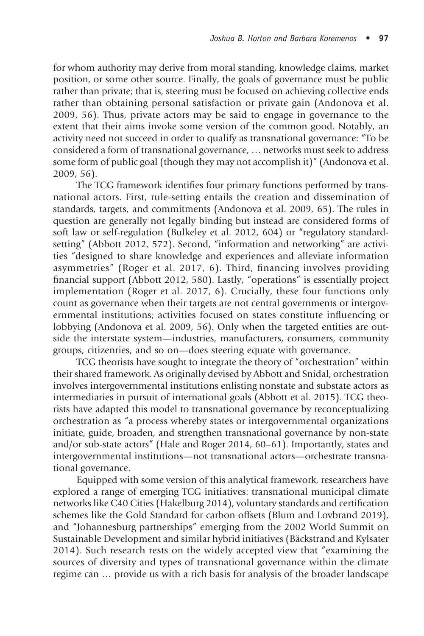for whom authority may derive from moral standing, knowledge claims, market position, or some other source. Finally, the goals of governance must be public rather than private; that is, steering must be focused on achieving collective ends rather than obtaining personal satisfaction or private gain (Andonova et al. 2009, 56). Thus, private actors may be said to engage in governance to the extent that their aims invoke some version of the common good. Notably, an activity need not succeed in order to qualify as transnational governance: "To be considered a form of transnational governance, … networks must seek to address some form of public goal (though they may not accomplish it)" (Andonova et al. 2009, 56).

The TCG framework identifies four primary functions performed by transnational actors. First, rule-setting entails the creation and dissemination of standards, targets, and commitments (Andonova et al. 2009, 65). The rules in question are generally not legally binding but instead are considered forms of soft law or self-regulation (Bulkeley et al. 2012, 604) or "regulatory standardsetting" (Abbott 2012, 572). Second, "information and networking" are activities "designed to share knowledge and experiences and alleviate information asymmetries" (Roger et al. 2017, 6). Third, financing involves providing financial support (Abbott 2012, 580). Lastly, "operations" is essentially project implementation (Roger et al. 2017, 6). Crucially, these four functions only count as governance when their targets are not central governments or intergovernmental institutions; activities focused on states constitute influencing or lobbying (Andonova et al. 2009, 56). Only when the targeted entities are outside the interstate system—industries, manufacturers, consumers, community groups, citizenries, and so on—does steering equate with governance.

TCG theorists have sought to integrate the theory of "orchestration" within their shared framework. As originally devised by Abbott and Snidal, orchestration involves intergovernmental institutions enlisting nonstate and substate actors as intermediaries in pursuit of international goals (Abbott et al. 2015). TCG theorists have adapted this model to transnational governance by reconceptualizing orchestration as "a process whereby states or intergovernmental organizations initiate, guide, broaden, and strengthen transnational governance by non-state and/or sub-state actors" (Hale and Roger 2014, 60–61). Importantly, states and intergovernmental institutions—not transnational actors—orchestrate transnational governance.

Equipped with some version of this analytical framework, researchers have explored a range of emerging TCG initiatives: transnational municipal climate networks like C40 Cities (Hakelburg 2014), voluntary standards and certification schemes like the Gold Standard for carbon offsets (Blum and Lovbrand 2019), and "Johannesburg partnerships" emerging from the 2002 World Summit on Sustainable Development and similar hybrid initiatives (Bäckstrand and Kylsater 2014). Such research rests on the widely accepted view that "examining the sources of diversity and types of transnational governance within the climate regime can … provide us with a rich basis for analysis of the broader landscape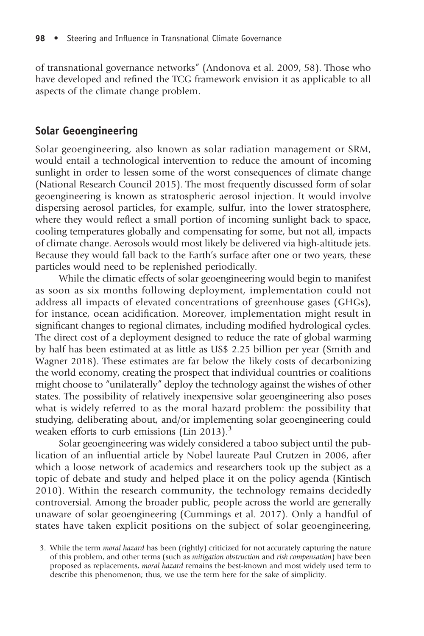of transnational governance networks" (Andonova et al. 2009, 58). Those who have developed and refined the TCG framework envision it as applicable to all aspects of the climate change problem.

## Solar Geoengineering

Solar geoengineering, also known as solar radiation management or SRM, would entail a technological intervention to reduce the amount of incoming sunlight in order to lessen some of the worst consequences of climate change (National Research Council 2015). The most frequently discussed form of solar geoengineering is known as stratospheric aerosol injection. It would involve dispersing aerosol particles, for example, sulfur, into the lower stratosphere, where they would reflect a small portion of incoming sunlight back to space, cooling temperatures globally and compensating for some, but not all, impacts of climate change. Aerosols would most likely be delivered via high-altitude jets. Because they would fall back to the Earth's surface after one or two years, these particles would need to be replenished periodically.

While the climatic effects of solar geoengineering would begin to manifest as soon as six months following deployment, implementation could not address all impacts of elevated concentrations of greenhouse gases (GHGs), for instance, ocean acidification. Moreover, implementation might result in significant changes to regional climates, including modified hydrological cycles. The direct cost of a deployment designed to reduce the rate of global warming by half has been estimated at as little as US\$ 2.25 billion per year (Smith and Wagner 2018). These estimates are far below the likely costs of decarbonizing the world economy, creating the prospect that individual countries or coalitions might choose to "unilaterally" deploy the technology against the wishes of other states. The possibility of relatively inexpensive solar geoengineering also poses what is widely referred to as the moral hazard problem: the possibility that studying, deliberating about, and/or implementing solar geoengineering could weaken efforts to curb emissions (Lin 2013).<sup>3</sup>

Solar geoengineering was widely considered a taboo subject until the publication of an influential article by Nobel laureate Paul Crutzen in 2006, after which a loose network of academics and researchers took up the subject as a topic of debate and study and helped place it on the policy agenda (Kintisch 2010). Within the research community, the technology remains decidedly controversial. Among the broader public, people across the world are generally unaware of solar geoengineering (Cummings et al. 2017). Only a handful of states have taken explicit positions on the subject of solar geoengineering,

<sup>3.</sup> While the term moral hazard has been (rightly) criticized for not accurately capturing the nature of this problem, and other terms (such as mitigation obstruction and risk compensation) have been proposed as replacements, moral hazard remains the best-known and most widely used term to describe this phenomenon; thus, we use the term here for the sake of simplicity.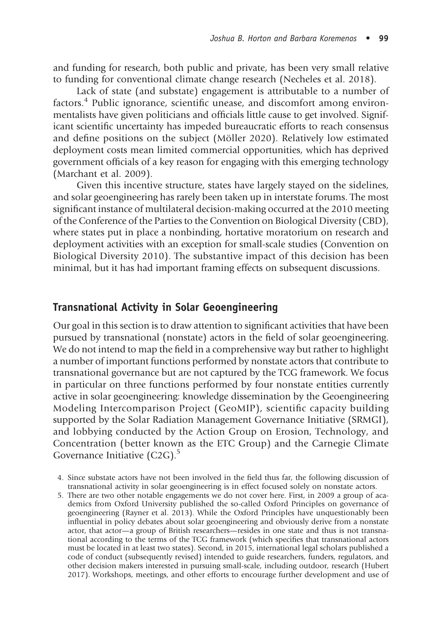and funding for research, both public and private, has been very small relative to funding for conventional climate change research (Necheles et al. 2018).

Lack of state (and substate) engagement is attributable to a number of factors.<sup>4</sup> Public ignorance, scientific unease, and discomfort among environmentalists have given politicians and officials little cause to get involved. Significant scientific uncertainty has impeded bureaucratic efforts to reach consensus and define positions on the subject (Möller 2020). Relatively low estimated deployment costs mean limited commercial opportunities, which has deprived government officials of a key reason for engaging with this emerging technology (Marchant et al. 2009).

Given this incentive structure, states have largely stayed on the sidelines, and solar geoengineering has rarely been taken up in interstate forums. The most significant instance of multilateral decision-making occurred at the 2010 meeting of the Conference of the Parties to the Convention on Biological Diversity (CBD), where states put in place a nonbinding, hortative moratorium on research and deployment activities with an exception for small-scale studies (Convention on Biological Diversity 2010). The substantive impact of this decision has been minimal, but it has had important framing effects on subsequent discussions.

## Transnational Activity in Solar Geoengineering

Our goal in this section is to draw attention to significant activities that have been pursued by transnational (nonstate) actors in the field of solar geoengineering. We do not intend to map the field in a comprehensive way but rather to highlight a number of important functions performed by nonstate actors that contribute to transnational governance but are not captured by the TCG framework. We focus in particular on three functions performed by four nonstate entities currently active in solar geoengineering: knowledge dissemination by the Geoengineering Modeling Intercomparison Project (GeoMIP), scientific capacity building supported by the Solar Radiation Management Governance Initiative (SRMGI), and lobbying conducted by the Action Group on Erosion, Technology, and Concentration (better known as the ETC Group) and the Carnegie Climate Governance Initiative  $(C2G)$ .<sup>5</sup>

- 4. Since substate actors have not been involved in the field thus far, the following discussion of transnational activity in solar geoengineering is in effect focused solely on nonstate actors.
- 5. There are two other notable engagements we do not cover here. First, in 2009 a group of academics from Oxford University published the so-called Oxford Principles on governance of geoengineering (Rayner et al. 2013). While the Oxford Principles have unquestionably been influential in policy debates about solar geoengineering and obviously derive from a nonstate actor, that actor—a group of British researchers—resides in one state and thus is not transnational according to the terms of the TCG framework (which specifies that transnational actors must be located in at least two states). Second, in 2015, international legal scholars published a code of conduct (subsequently revised) intended to guide researchers, funders, regulators, and other decision makers interested in pursuing small-scale, including outdoor, research (Hubert 2017). Workshops, meetings, and other efforts to encourage further development and use of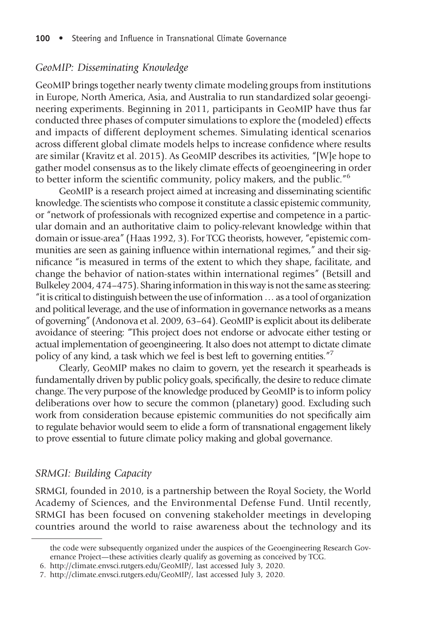#### 100 • Steering and Influence in Transnational Climate Governance

#### GeoMIP: Disseminating Knowledge

GeoMIP brings together nearly twenty climate modeling groups from institutions in Europe, North America, Asia, and Australia to run standardized solar geoengineering experiments. Beginning in 2011, participants in GeoMIP have thus far conducted three phases of computer simulations to explore the (modeled) effects and impacts of different deployment schemes. Simulating identical scenarios across different global climate models helps to increase confidence where results are similar (Kravitz et al. 2015). As GeoMIP describes its activities, "[W]e hope to gather model consensus as to the likely climate effects of geoengineering in order to better inform the scientific community, policy makers, and the public." 6

GeoMIP is a research project aimed at increasing and disseminating scientific knowledge. The scientists who compose it constitute a classic epistemic community, or "network of professionals with recognized expertise and competence in a particular domain and an authoritative claim to policy-relevant knowledge within that domain or issue-area" (Haas 1992, 3). For TCG theorists, however, "epistemic communities are seen as gaining influence within international regimes," and their significance "is measured in terms of the extent to which they shape, facilitate, and change the behavior of nation-states within international regimes" (Betsill and Bulkeley 2004, 474–475). Sharing information in this way is not the same as steering: "it is critical to distinguish between the use of information…as a tool of organization and political leverage, and the use of information in governance networks as a means of governing" (Andonova et al. 2009, 63–64). GeoMIP is explicit about its deliberate avoidance of steering: "This project does not endorse or advocate either testing or actual implementation of geoengineering. It also does not attempt to dictate climate policy of any kind, a task which we feel is best left to governing entities." 7

Clearly, GeoMIP makes no claim to govern, yet the research it spearheads is fundamentally driven by public policy goals, specifically, the desire to reduce climate change. The very purpose of the knowledge produced by GeoMIP is to inform policy deliberations over how to secure the common (planetary) good. Excluding such work from consideration because epistemic communities do not specifically aim to r[egulate](http://climate.envsci.rutgers.edu/GeoMIP/) [behavior](http://climate.envsci.rutgers.edu/GeoMIP/) [would](http://climate.envsci.rutgers.edu/GeoMIP/) [seem](http://climate.envsci.rutgers.edu/GeoMIP/) [to](http://climate.envsci.rutgers.edu/GeoMIP/) [elid](http://climate.envsci.rutgers.edu/GeoMIP/)e a form of transnational engagement likely to [prove](http://climate.envsci.rutgers.edu/GeoMIP/) [essential](http://climate.envsci.rutgers.edu/GeoMIP/) [to](http://climate.envsci.rutgers.edu/GeoMIP/) [future](http://climate.envsci.rutgers.edu/GeoMIP/) [climate](http://climate.envsci.rutgers.edu/GeoMIP/) [pol](http://climate.envsci.rutgers.edu/GeoMIP/)icy making and global governance.

## SRMGI: Building Capacity

SRMGI, founded in 2010, is a partnership between the Royal Society, the World Academy of Sciences, and the Environmental Defense Fund. Until recently, SRMGI has been focused on convening stakeholder meetings in developing countries around the world to raise awareness about the technology and its

the code were subsequently organized under the auspices of the Geoengineering Research Governance Project—these activities clearly qualify as governing as conceived by TCG.

<sup>6.</sup> http://climate.envsci.rutgers.edu/GeoMIP/, last accessed July 3, 2020.

<sup>7.</sup> http://climate.envsci.rutgers.edu/GeoMIP/, last accessed July 3, 2020.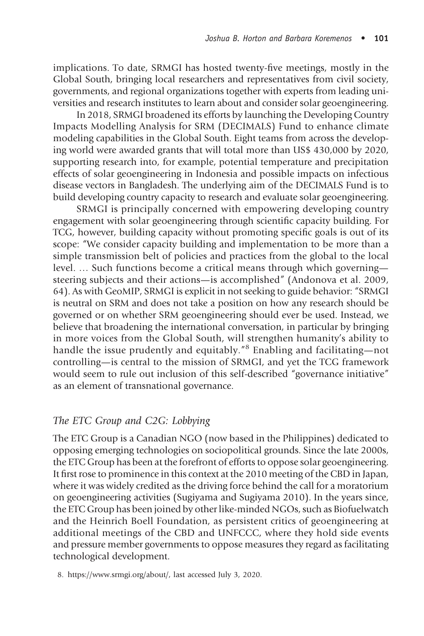#### Joshua B. Horton and Barbara Koremenos • 101

implications. To date, SRMGI has hosted twenty-five meetings, mostly in the Global South, bringing local researchers and representatives from civil society, governments, and regional organizations together with experts from leading universities and research institutes to learn about and consider solar geoengineering.

In 2018, SRMGI broadened its efforts by launching the Developing Country Impacts Modelling Analysis for SRM (DECIMALS) Fund to enhance climate modeling capabilities in the Global South. Eight teams from across the developing world were awarded grants that will total more than US\$ 430,000 by 2020, supporting research into, for example, potential temperature and precipitation effects of solar geoengineering in Indonesia and possible impacts on infectious disease vectors in Bangladesh. The underlying aim of the DECIMALS Fund is to build developing country capacity to research and evaluate solar geoengineering.

SRMGI is principally concerned with empowering developing country engagement with solar geoengineering through scientific capacity building. For TCG, however, building capacity without promoting specific goals is out of its scope: "We consider capacity building and implementation to be more than a simple transmission belt of policies and practices from the global to the local level. … Such functions become a critical means through which governing steering subjects and their actions—is accomplished" (Andonova et al. 2009, 64). As with GeoMIP, SRMGI is explicit in not seeking to guide behavior: "SRMGI is neutral on SRM and does not take a position on how any research should be governed or on whether SRM geoengineering should ever be used. Instead, we believe that broadening the international conversation, in particular by bringing in more voices from the Global South, will strengthen humanity's ability to handle the issue prudently and equitably."<sup>8</sup> Enabling and facilitating—not controlling—is central to the mission of SRMGI, and yet the TCG framework would seem to rule out inclusion of this self-described "governance initiative" as an element of transnational governance.

### The ETC Group and C2G: Lobbying

Th[e](https://www.srmgi.org/about/) [ETC](https://www.srmgi.org/about/) [Group](https://www.srmgi.org/about/) [is](https://www.srmgi.org/about/) [a](https://www.srmgi.org/about/) [Canadia](https://www.srmgi.org/about/)n NGO (now based in the Philippines) dedicated to opposing emerging technologies on sociopolitical grounds. Since the late 2000s, the ETC Group has been at the forefront of efforts to oppose solar geoengineering. It first rose to prominence in this context at the 2010 meeting of the CBD in Japan, where it was widely credited as the driving force behind the call for a moratorium on geoengineering activities (Sugiyama and Sugiyama 2010). In the years since, the ETC Group has been joined by other like-minded NGOs, such as Biofuelwatch and the Heinrich Boell Foundation, as persistent critics of geoengineering at additional meetings of the CBD and UNFCCC, where they hold side events and pressure member governments to oppose measures they regard as facilitating technological development.

<sup>8.</sup> https://www.srmgi.org/about/, last accessed July 3, 2020.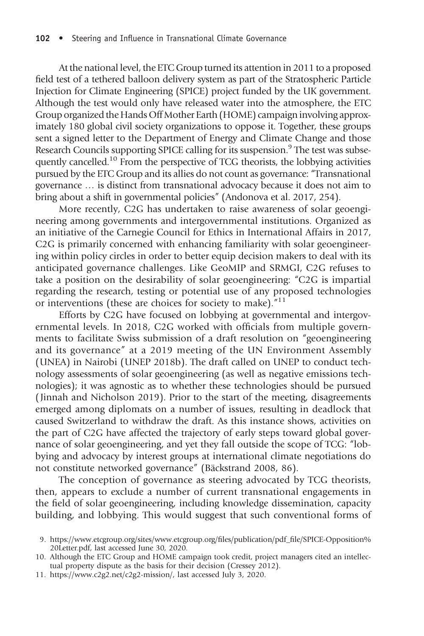#### 102 • Steering and Influence in Transnational Climate Governance

At the national level, the ETC Group turned its attention in 2011 to a proposed field test of a tethered balloon delivery system as part of the Stratospheric Particle Injection for Climate Engineering (SPICE) project funded by the UK government. Although the test would only have released water into the atmosphere, the ETC Group organized the Hands Off Mother Earth (HOME) campaign involving approximately 180 global civil society organizations to oppose it. Together, these groups sent a signed letter to the Department of Energy and Climate Change and those Research Councils supporting SPICE calling for its suspension.<sup>9</sup> The test was subsequently cancelled.<sup>10</sup> From the perspective of TCG theorists, the lobbying activities pursued by the ETC Group and its allies do not count as governance: "Transnational governance … is distinct from transnational advocacy because it does not aim to bring about a shift in governmental policies" (Andonova et al. 2017, 254).

More recently, C2G has undertaken to raise awareness of solar geoengineering among governments and intergovernmental institutions. Organized as an initiative of the Carnegie Council for Ethics in International Affairs in 2017, C2G is primarily concerned with enhancing familiarity with solar geoengineering within policy circles in order to better equip decision makers to deal with its anticipated governance challenges. Like GeoMIP and SRMGI, C2G refuses to take a position on the desirability of solar geoengineering: "C2G is impartial regarding the research, testing or potential use of any proposed technologies or interventions (these are choices for society to make).<sup>"11</sup>

Efforts by C2G have focused on lobbying at governmental and intergovernmental levels. In 2018, C2G worked with officials from multiple governments to facilitate Swiss submission of a draft resolution on "geoengineering and its governance" at a 2019 meeting of the UN Environment Assembly (UNEA) in Nairobi (UNEP 2018b). The draft called on UNEP to conduct technology assessments of solar geoengineering (as well as negative emissions technologies); it was agnostic as to whether these technologies should be pursued ( Ji[nnah and Nicholson 2019\). Prior to the start of the meeting, disagreements](https://www.etcgroup.org/sites/www.etcgroup.org/files/publication/pdf_file/SPICE-Opposition%20Letter.pdf) em[erged](https://www.etcgroup.org/sites/www.etcgroup.org/files/publication/pdf_file/SPICE-Opposition%20Letter.pdf) [amo](https://www.etcgroup.org/sites/www.etcgroup.org/files/publication/pdf_file/SPICE-Opposition%20Letter.pdf)ng diplomats on a number of issues, resulting in deadlock that caused Switzerland to withdraw the draft. As this instance shows, activities on the [part of C2G have affected th](https://www.c2g2.net/c2g2-mission/)e trajectory of early steps toward global governance of solar geoengineering, and yet they fall outside the scope of TCG: "lobbying and advocacy by interest groups at international climate negotiations do not constitute networked governance" (Bäckstrand 2008, 86).

The conception of governance as steering advocated by TCG theorists, then, appears to exclude a number of current transnational engagements in the field of solar geoengineering, including knowledge dissemination, capacity building, and lobbying. This would suggest that such conventional forms of

<sup>9.</sup> https://www.etcgroup.org/sites/www.etcgroup.org/files/publication/pdf\_file/SPICE-Opposition% 20Letter.pdf, last accessed June 30, 2020.

<sup>10.</sup> Although the ETC Group and HOME campaign took credit, project managers cited an intellectual property dispute as the basis for their decision (Cressey 2012).

<sup>11.</sup> https://www.c2g2.net/c2g2-mission/, last accessed July 3, 2020.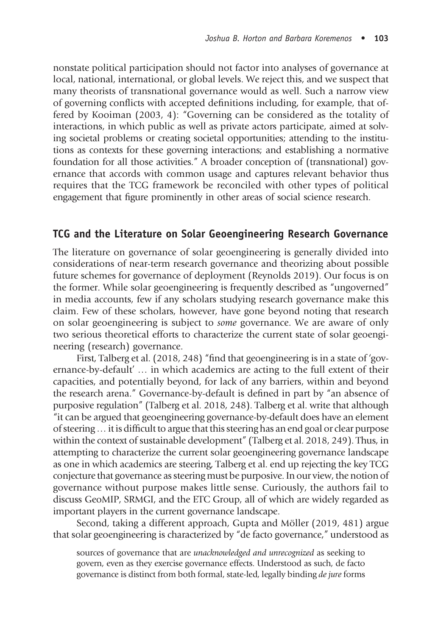nonstate political participation should not factor into analyses of governance at local, national, international, or global levels. We reject this, and we suspect that many theorists of transnational governance would as well. Such a narrow view of governing conflicts with accepted definitions including, for example, that offered by Kooiman (2003, 4): "Governing can be considered as the totality of interactions, in which public as well as private actors participate, aimed at solving societal problems or creating societal opportunities; attending to the institutions as contexts for these governing interactions; and establishing a normative foundation for all those activities." A broader conception of (transnational) governance that accords with common usage and captures relevant behavior thus requires that the TCG framework be reconciled with other types of political engagement that figure prominently in other areas of social science research.

## TCG and the Literature on Solar Geoengineering Research Governance

The literature on governance of solar geoengineering is generally divided into considerations of near-term research governance and theorizing about possible future schemes for governance of deployment (Reynolds 2019). Our focus is on the former. While solar geoengineering is frequently described as "ungoverned" in media accounts, few if any scholars studying research governance make this claim. Few of these scholars, however, have gone beyond noting that research on solar geoengineering is subject to some governance. We are aware of only two serious theoretical efforts to characterize the current state of solar geoengineering (research) governance.

First, Talberg et al. (2018, 248) "find that geoengineering is in a state of 'governance-by-default' … in which academics are acting to the full extent of their capacities, and potentially beyond, for lack of any barriers, within and beyond the research arena." Governance-by-default is defined in part by "an absence of purposive regulation" (Talberg et al. 2018, 248). Talberg et al. write that although "it can be argued that geoengineering governance-by-default does have an element of steering…it is difficult to argue that this steering has an end goal or clear purpose within the context of sustainable development" (Talberg et al. 2018, 249). Thus, in attempting to characterize the current solar geoengineering governance landscape as one in which academics are steering, Talberg et al. end up rejecting the key TCG conjecture that governance as steering must be purposive. In our view, the notion of governance without purpose makes little sense. Curiously, the authors fail to discuss GeoMIP, SRMGI, and the ETC Group, all of which are widely regarded as important players in the current governance landscape.

Second, taking a different approach, Gupta and Möller (2019, 481) argue that solar geoengineering is characterized by "de facto governance," understood as

sources of governance that are unacknowledged and unrecognized as seeking to govern, even as they exercise governance effects. Understood as such, de facto governance is distinct from both formal, state-led, legally binding de jure forms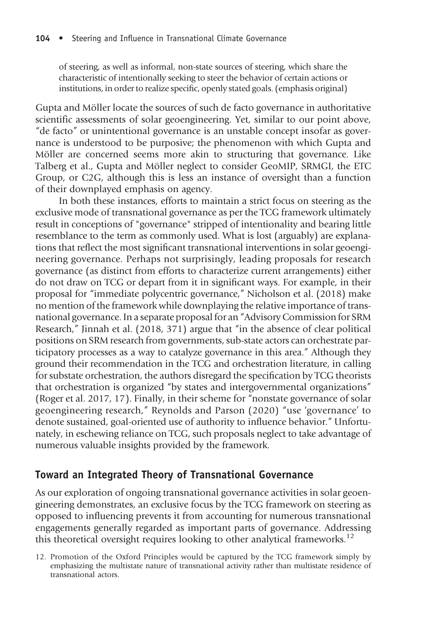of steering, as well as informal, non-state sources of steering, which share the characteristic of intentionally seeking to steer the behavior of certain actions or institutions, in order to realize specific, openly stated goals. (emphasis original)

Gupta and Möller locate the sources of such de facto governance in authoritative scientific assessments of solar geoengineering. Yet, similar to our point above, "de facto" or unintentional governance is an unstable concept insofar as governance is understood to be purposive; the phenomenon with which Gupta and Möller are concerned seems more akin to structuring that governance. Like Talberg et al., Gupta and Möller neglect to consider GeoMIP, SRMGI, the ETC Group, or C2G, although this is less an instance of oversight than a function of their downplayed emphasis on agency.

In both these instances, efforts to maintain a strict focus on steering as the exclusive mode of transnational governance as per the TCG framework ultimately result in conceptions of "governance" stripped of intentionality and bearing little resemblance to the term as commonly used. What is lost (arguably) are explanations that reflect the most significant transnational interventions in solar geoengineering governance. Perhaps not surprisingly, leading proposals for research governance (as distinct from efforts to characterize current arrangements) either do not draw on TCG or depart from it in significant ways. For example, in their proposal for "immediate polycentric governance," Nicholson et al. (2018) make no mention of the framework while downplaying the relative importance of transnational governance. In a separate proposal for an "Advisory Commission for SRM Research," Jinnah et al. (2018, 371) argue that "in the absence of clear political positions on SRM research from governments, sub-state actors can orchestrate participatory processes as a way to catalyze governance in this area." Although they ground their recommendation in the TCG and orchestration literature, in calling for substate orchestration, the authors disregard the specification by TCG theorists that orchestration is organized "by states and intergovernmental organizations" (Roger et al. 2017, 17). Finally, in their scheme for "nonstate governance of solar geoengineering research," Reynolds and Parson (2020) "use 'governance' to denote sustained, goal-oriented use of authority to influence behavior." Unfortunately, in eschewing reliance on TCG, such proposals neglect to take advantage of numerous valuable insights provided by the framework.

# Toward an Integrated Theory of Transnational Governance

As our exploration of ongoing transnational governance activities in solar geoengineering demonstrates, an exclusive focus by the TCG framework on steering as opposed to influencing prevents it from accounting for numerous transnational engagements generally regarded as important parts of governance. Addressing this theoretical oversight requires looking to other analytical frameworks.<sup>12</sup>

12. Promotion of the Oxford Principles would be captured by the TCG framework simply by emphasizing the multistate nature of transnational activity rather than multistate residence of transnational actors.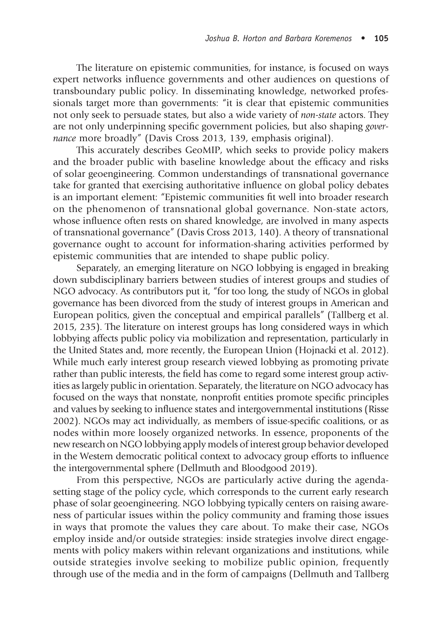The literature on epistemic communities, for instance, is focused on ways expert networks influence governments and other audiences on questions of transboundary public policy. In disseminating knowledge, networked professionals target more than governments: "it is clear that epistemic communities not only seek to persuade states, but also a wide variety of non-state actors. They are not only underpinning specific government policies, but also shaping governance more broadly" (Davis Cross 2013, 139, emphasis original).

This accurately describes GeoMIP, which seeks to provide policy makers and the broader public with baseline knowledge about the efficacy and risks of solar geoengineering. Common understandings of transnational governance take for granted that exercising authoritative influence on global policy debates is an important element: "Epistemic communities fit well into broader research on the phenomenon of transnational global governance. Non-state actors, whose influence often rests on shared knowledge, are involved in many aspects of transnational governance" (Davis Cross 2013, 140). A theory of transnational governance ought to account for information-sharing activities performed by epistemic communities that are intended to shape public policy.

Separately, an emerging literature on NGO lobbying is engaged in breaking down subdisciplinary barriers between studies of interest groups and studies of NGO advocacy. As contributors put it, "for too long, the study of NGOs in global governance has been divorced from the study of interest groups in American and European politics, given the conceptual and empirical parallels" (Tallberg et al. 2015, 235). The literature on interest groups has long considered ways in which lobbying affects public policy via mobilization and representation, particularly in the United States and, more recently, the European Union (Hojnacki et al. 2012). While much early interest group research viewed lobbying as promoting private rather than public interests, the field has come to regard some interest group activities as largely public in orientation. Separately, the literature on NGO advocacy has focused on the ways that nonstate, nonprofit entities promote specific principles and values by seeking to influence states and intergovernmental institutions (Risse 2002). NGOs may act individually, as members of issue-specific coalitions, or as nodes within more loosely organized networks. In essence, proponents of the new research on NGO lobbying apply models of interest group behavior developed in the Western democratic political context to advocacy group efforts to influence the intergovernmental sphere (Dellmuth and Bloodgood 2019).

From this perspective, NGOs are particularly active during the agendasetting stage of the policy cycle, which corresponds to the current early research phase of solar geoengineering. NGO lobbying typically centers on raising awareness of particular issues within the policy community and framing those issues in ways that promote the values they care about. To make their case, NGOs employ inside and/or outside strategies: inside strategies involve direct engagements with policy makers within relevant organizations and institutions, while outside strategies involve seeking to mobilize public opinion, frequently through use of the media and in the form of campaigns (Dellmuth and Tallberg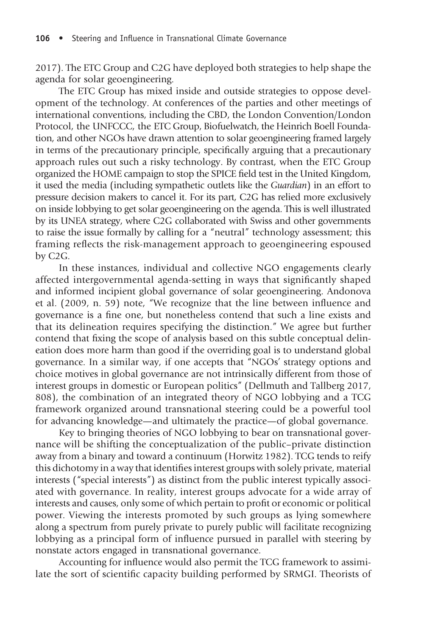2017). The ETC Group and C2G have deployed both strategies to help shape the agenda for solar geoengineering.

The ETC Group has mixed inside and outside strategies to oppose development of the technology. At conferences of the parties and other meetings of international conventions, including the CBD, the London Convention/London Protocol, the UNFCCC, the ETC Group, Biofuelwatch, the Heinrich Boell Foundation, and other NGOs have drawn attention to solar geoengineering framed largely in terms of the precautionary principle, specifically arguing that a precautionary approach rules out such a risky technology. By contrast, when the ETC Group organized the HOME campaign to stop the SPICE field test in the United Kingdom, it used the media (including sympathetic outlets like the Guardian) in an effort to pressure decision makers to cancel it. For its part, C2G has relied more exclusively on inside lobbying to get solar geoengineering on the agenda. This is well illustrated by its UNEA strategy, where C2G collaborated with Swiss and other governments to raise the issue formally by calling for a "neutral" technology assessment; this framing reflects the risk-management approach to geoengineering espoused by C2G.

In these instances, individual and collective NGO engagements clearly affected intergovernmental agenda-setting in ways that significantly shaped and informed incipient global governance of solar geoengineering. Andonova et al. (2009, n. 59) note, "We recognize that the line between influence and governance is a fine one, but nonetheless contend that such a line exists and that its delineation requires specifying the distinction." We agree but further contend that fixing the scope of analysis based on this subtle conceptual delineation does more harm than good if the overriding goal is to understand global governance. In a similar way, if one accepts that "NGOs' strategy options and choice motives in global governance are not intrinsically different from those of interest groups in domestic or European politics" (Dellmuth and Tallberg 2017, 808), the combination of an integrated theory of NGO lobbying and a TCG framework organized around transnational steering could be a powerful tool for advancing knowledge—and ultimately the practice—of global governance.

Key to bringing theories of NGO lobbying to bear on transnational governance will be shifting the conceptualization of the public–private distinction away from a binary and toward a continuum (Horwitz 1982). TCG tends to reify this dichotomy in a way that identifies interest groups with solely private, material interests ("special interests") as distinct from the public interest typically associated with governance. In reality, interest groups advocate for a wide array of interests and causes, only some of which pertain to profit or economic or political power. Viewing the interests promoted by such groups as lying somewhere along a spectrum from purely private to purely public will facilitate recognizing lobbying as a principal form of influence pursued in parallel with steering by nonstate actors engaged in transnational governance.

Accounting for influence would also permit the TCG framework to assimilate the sort of scientific capacity building performed by SRMGI. Theorists of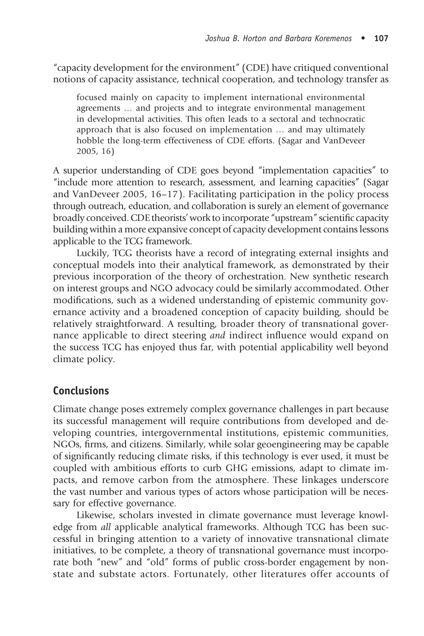"capacity development for the environment" (CDE) have critiqued conventional notions of capacity assistance, technical cooperation, and technology transfer as

focused mainly on capacity to implement international environmental agreements … and projects and to integrate environmental management in developmental activities. This often leads to a sectoral and technocratic approach that is also focused on implementation … and may ultimately hobble the long-term effectiveness of CDE efforts. (Sagar and VanDeveer 2005, 16)

A superior understanding of CDE goes beyond "implementation capacities" to "include more attention to research, assessment, and learning capacities" (Sagar and VanDeveer 2005, 16–17). Facilitating participation in the policy process through outreach, education, and collaboration is surely an element of governance broadly conceived. CDE theorists' work to incorporate "upstream" scientific capacity building within a more expansive concept of capacity development contains lessons applicable to the TCG framework.

Luckily, TCG theorists have a record of integrating external insights and conceptual models into their analytical framework, as demonstrated by their previous incorporation of the theory of orchestration. New synthetic research on interest groups and NGO advocacy could be similarly accommodated. Other modifications, such as a widened understanding of epistemic community governance activity and a broadened conception of capacity building, should be relatively straightforward. A resulting, broader theory of transnational governance applicable to direct steering and indirect influence would expand on the success TCG has enjoyed thus far, with potential applicability well beyond climate policy.

# Conclusions

Climate change poses extremely complex governance challenges in part because its successful management will require contributions from developed and developing countries, intergovernmental institutions, epistemic communities, NGOs, firms, and citizens. Similarly, while solar geoengineering may be capable of significantly reducing climate risks, if this technology is ever used, it must be coupled with ambitious efforts to curb GHG emissions, adapt to climate impacts, and remove carbon from the atmosphere. These linkages underscore the vast number and various types of actors whose participation will be necessary for effective governance.

Likewise, scholars invested in climate governance must leverage knowledge from all applicable analytical frameworks. Although TCG has been successful in bringing attention to a variety of innovative transnational climate initiatives, to be complete, a theory of transnational governance must incorporate both "new" and "old" forms of public cross-border engagement by nonstate and substate actors. Fortunately, other literatures offer accounts of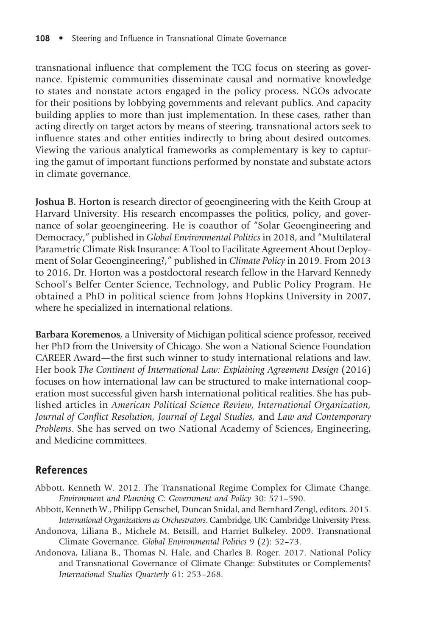transnational influence that complement the TCG focus on steering as governance. Epistemic communities disseminate causal and normative knowledge to states and nonstate actors engaged in the policy process. NGOs advocate for their positions by lobbying governments and relevant publics. And capacity building applies to more than just implementation. In these cases, rather than acting directly on target actors by means of steering, transnational actors seek to influence states and other entities indirectly to bring about desired outcomes. Viewing the various analytical frameworks as complementary is key to capturing the gamut of important functions performed by nonstate and substate actors in climate governance.

Joshua B. Horton is research director of geoengineering with the Keith Group at Harvard University. His research encompasses the politics, policy, and governance of solar geoengineering. He is coauthor of "Solar Geoengineering and Democracy," published in Global Environmental Politics in 2018, and "Multilateral Parametric Climate Risk Insurance: A Tool to Facilitate Agreement About Deployment of Solar Geoengineering?," published in Climate Policy in 2019. From 2013 to 2016, Dr. Horton was a postdoctoral research fellow in the Harvard Kennedy School's Belfer Center Science, Technology, and Public Policy Program. He obtained a PhD in political science from Johns Hopkins University in 2007, where he specialized in international relations.

Barbara Koremenos, a University of Michigan political science professor, received her PhD from the University of Chicago. She won a National Science Foundation CAREER Award—the first such winner to study international relations and law. Her book The Continent of International Law: Explaining Agreement Design (2016) focuses on how international law can be structured to make international cooperation most successful given harsh international political realities. She has published articles in American Political Science Review, International Organization, Journal of Conflict Resolution, Journal of Legal Studies, and Law and Contemporary Problems. She has served on two National Academy of Sciences, Engineering, and Medicine committees.

# References

- Abbott, Kenneth W. 2012. The Transnational Regime Complex for Climate Change. Environment and Planning C: Government and Policy 30: 571–590.
- Abbott, Kenneth W., Philipp Genschel, Duncan Snidal, and Bernhard Zengl, editors. 2015. International Organizations as Orchestrators. Cambridge, UK: Cambridge University Press.
- Andonova, Liliana B., Michele M. Betsill, and Harriet Bulkeley. 2009. Transnational Climate Governance. Global Environmental Politics 9 (2): 52–73.
- Andonova, Liliana B., Thomas N. Hale, and Charles B. Roger. 2017. National Policy and Transnational Governance of Climate Change: Substitutes or Complements? International Studies Quarterly 61: 253–268.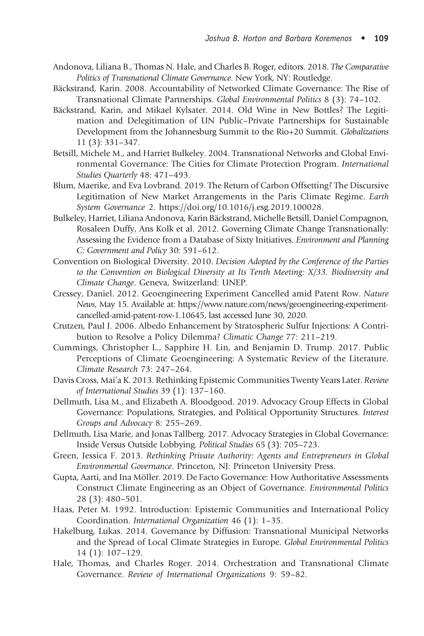Joshua B. Horton and Barbara Koremenos • 109

- Andonova, Liliana B., Thom[as N. Hale, and Charles B. Roger, editors. 201](https://doi.org/10.1016/j.esg.2019.100028)8. The Comparative Politics of Transnational Climate Governance. New York, NY: Routledge.
- Bäckstrand, Karin. 2008. Accountability of Networked Climate Governance: The Rise of Transnational Climate Partnerships. Global Environmental Politics 8 (3): 74–102.
- Bäckstrand, Karin, and Mikael Kylsater. 2014. Old Wine in New Bottles? The Legitimation and Delegitimation of UN Public–Private Partnerships for Sustainable Development from the Johannesburg Summit to the Rio+20 Summit. Globalizations 11 (3): 331–347.
- Betsill, Michele M., and Harriet Bulkeley. 2004. Transnational Networks and Global Environmental Governance: T[he Cities for Climate Protection Program.](https://www.nature.com/news/geoengineering-experiment-cancelled-amid-patent-row-1.10645) International [Studies Quarterly](https://www.nature.com/news/geoengineering-experiment-cancelled-amid-patent-row-1.10645) 48: 471–493.
- Blum, Maerike, and Eva Lovbrand. 2019. The Return of Carbon Offsetting? The Discursive Legitimation of New Market Arrangements in the Paris Climate Regime. Earth System Governance 2. https://doi.org/10.1016/j.esg.2019.100028.
- Bulkeley, Harriet, Liliana Andonova, Karin Bäckstrand, Michelle Betsill, Daniel Compagnon, Rosaleen Duffy, Ans Kolk et al. 2012. Governing Climate Change Transnationally: Assessing the Evidence from a Database of Sixty Initiatives. Environment and Planning C: Government and Policy 30: 591–612.
- Convention on Biological Diversity. 2010. Decision Adopted by the Conference of the Parties to the Convention on Biological Diversity at Its Tenth Meeting: X/33. Biodiversity and Climate Change. Geneva, Switzerland: UNEP.
- Cressey, Daniel. 2012. Geoengineering Experiment Cancelled amid Patent Row. Nature News, May 15. Available at: https://www.nature.com/news/geoengineering-experimentcancelled-amid-patent-row-1.10645, last accessed June 30, 2020.
- Crutzen, Paul J. 2006. Albedo Enhancement by Stratospheric Sulfur Injections: A Contribution to Resolve a Policy Dilemma? Climatic Change 77: 211–219.
- Cummings, Christopher L., Sapphire H. Lin, and Benjamin D. Trump. 2017. Public Perceptions of Climate Geoengineering: A Systematic Review of the Literature. Climate Research 73: 247–264.
- Davis Cross, Mai'a K. 2013. Rethinking Epistemic Communities Twenty Years Later. Review of International Studies 39 (1): 137–160.
- Dellmuth, Lisa M., and Elizabeth A. Bloodgood. 2019. Advocacy Group Effects in Global Governance: Populations, Strategies, and Political Opportunity Structures. Interest Groups and Advocacy 8: 255–269.
- Dellmuth, Lisa Marie, and Jonas Tallberg. 2017. Advocacy Strategies in Global Governance: Inside Versus Outside Lobbying. Political Studies 65 (3): 705–723.
- Green, Jessica F. 2013. Rethinking Private Authority: Agents and Entrepreneurs in Global Environmental Governance. Princeton, NJ: Princeton University Press.
- Gupta, Aarti, and Ina Möller. 2019. De Facto Governance: How Authoritative Assessments Construct Climate Engineering as an Object of Governance. Environmental Politics 28 (3): 480–501.
- Haas, Peter M. 1992. Introduction: Epistemic Communities and International Policy Coordination. International Organization 46 (1): 1–35.
- Hakelburg, Lukas. 2014. Governance by Diffusion: Transnational Municipal Networks and the Spread of Local Climate Strategies in Europe. Global Environmental Politics 14 (1): 107–129.
- Hale, Thomas, and Charles Roger. 2014. Orchestration and Transnational Climate Governance. Review of International Organizations 9: 59–82.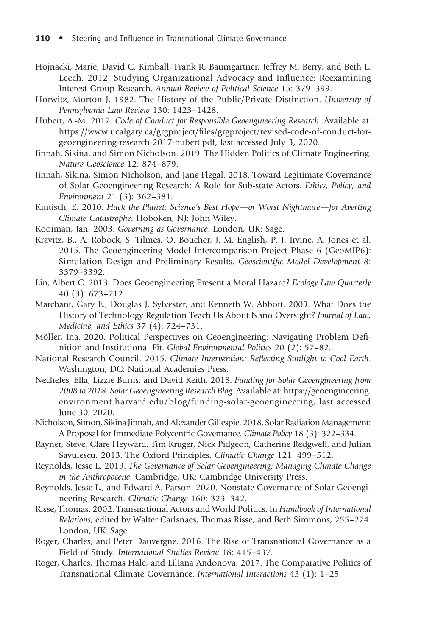110 • Steering and Influence in Transnational Climate Governance

- Hojnacki, Marie, David C. Kimball, Frank R. Baumgartner, Jeffrey M. Berry, and Beth L. Leech. 2012. Studying Organizational Advocacy and Influence: Reexamining Interest Group Research. Annual Review of Political Science 15: 379–399.
- Horwitz, Morton J. 1982. The History of the Public/Private Distinction. University of Pennsylvania Law Review 130: 1423–1428.
- Hubert, A.-M. 2017. Code of Conduct for Responsible Geoengineering Research. Available at: https://www.ucalgary.ca/grgproject/files/grgproject/revised-code-of-conduct-forgeoengineering-research-2017-hubert.pdf, last accessed July 3, 2020.
- Jinnah, Sikina, and Simon Nicholson. 2019. The Hidden Politics of Climate Engineering. Nature Geoscience 12: 874–879.
- Jinnah, Sikina, Simon Nicholson, and Jane Flegal. 2018. Toward Legitimate Governance of Solar Geoengineering Research: A Role for Sub-state Actors. Ethics, Policy, and Environment 21 (3): 362–381.
- Kintisch, E. 2010. Hack the Planet: Science's Best Hope—or Worst Nightmare—for Averting Climate Catastrophe. Hoboken, NJ: John Wiley.
- Kooiman, Jan. 2003. Governing as Governance. London, UK: Sage.
- Kravitz, B., A. Robock, S. Tilmes, O. Boucher, J. M. English, P. J. Irvine, A. Jones et al. 2015. The Geoengineering Model Intercomparison Proje[ct Phase 6 \(GeoMIP6\):](https://geoengineering.environment.harvard.edu/blog/funding-solar-geoengineering) [Simulation Design and Preliminary Results.](https://geoengineering.environment.harvard.edu/blog/funding-solar-geoengineering) Geoscientific Model Development 8: 3379–3392.
- Lin, Albert C. 2013. Does Geoengineering Present a Moral Hazard? Ecology Law Quarterly 40 (3): 673–712.
- Marchant, Gary E., Douglas J. Sylvester, and Kenneth W. Abbott. 2009. What Does the History of Technology Regulation Teach Us About Nano Oversight? Journal of Law, Medicine, and Ethics 37 (4): 724–731.
- Möller, Ina. 2020. Political Perspectives on Geoengineering: Navigating Problem Definition and Institutional Fit. Global Environmental Politics 20 (2): 57–82.
- National Research Council. 2015. Climate Intervention: Reflecting Sunlight to Cool Earth. Washington, DC: National Academies Press.
- Necheles, Ella, Lizzie Burns, and David Keith. 2018. Funding for Solar Geoengineering from 2008 to 2018. Solar Geoengineering Research Blog. Available at: https://geoengineering. environment.harvard.edu/blog/funding-solar-geoengineering, last accessed June 30, 2020.
- Nicholson, Simon, Sikina Jinnah, and Alexander Gillespie. 2018. Solar Radiation Management: A Proposal for Immediate Polycentric Governance. Climate Policy 18 (3): 322–334.
- Rayner, Steve, Clare Heyward, Tim Kruger, Nick Pidgeon, Catherine Redgwell, and Julian Savulescu. 2013. The Oxford Principles. Climatic Change 121: 499–512.
- Reynolds, Jesse L. 2019. The Governance of Solar Geoengineering: Managing Climate Change in the Anthropocene. Cambridge, UK: Cambridge University Press.
- Reynolds, Jesse L., and Edward A. Parson. 2020. Nonstate Governance of Solar Geoengineering Research. Climatic Change 160: 323–342.
- Risse, Thomas. 2002. Transnational Actors and World Politics. In Handbook of International Relations, edited by Walter Carlsnaes, Thomas Risse, and Beth Simmons, 255–274. London, UK: Sage.
- Roger, Charles, and Peter Dauvergne. 2016. The Rise of Transnational Governance as a Field of Study. International Studies Review 18: 415–437.
- Roger, Charles, Thomas Hale, and Liliana Andonova. 2017. The Comparative Politics of Transnational Climate Governance. International Interactions 43 (1): 1–25.